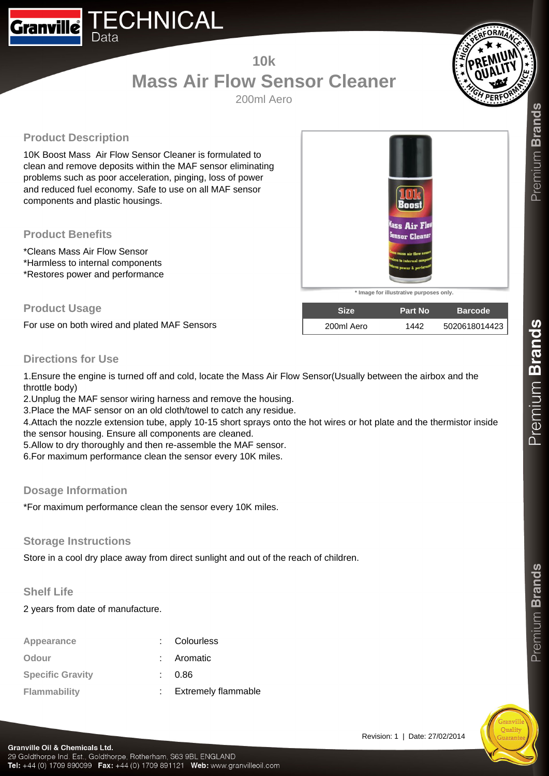# **10k Mass Air Flow Sensor Cleaner**

200ml Aero

# **Product Description**

10K Boost Mass Air Flow Sensor Cleaner is formulated to clean and remove deposits within the MAF sensor eliminating problems such as poor acceleration, pinging, loss of power and reduced fuel economy. Safe to use on all MAF sensor components and plastic housings.

#### **Product Benefits**

\*Cleans Mass Air Flow Sensor \*Harmless to internal components \*Restores power and performance

#### **Product Usage**

For use on both wired and plated MAF Sensors

# **Directions for Use**

1.Ensure the engine is turned off and cold, locate the Mass Air Flow Sensor(Usually between the airbox and the throttle body)

2.Unplug the MAF sensor wiring harness and remove the housing.

3.Place the MAF sensor on an old cloth/towel to catch any residue.

4.Attach the nozzle extension tube, apply 10-15 short sprays onto the hot wires or hot plate and the thermistor inside the sensor housing. Ensure all components are cleaned.

5.Allow to dry thoroughly and then re-assemble the MAF sensor.

6.For maximum performance clean the sensor every 10K miles.

#### **Dosage Information**

\*For maximum performance clean the sensor every 10K miles.

#### **Storage Instructions**

Store in a cool dry place away from direct sunlight and out of the reach of children.

## **Shelf Life**

2 years from date of manufacture.

| Appearance              | : Colourless          |
|-------------------------|-----------------------|
| Odour                   | : Aromatic            |
| <b>Specific Gravity</b> | 0.86                  |
| Flammability            | : Extremely flammable |

Premium Brands





**\* Image for illustrative purposes only.**

**Size Part No Barcode** 200ml Aero 1442 5020618014423